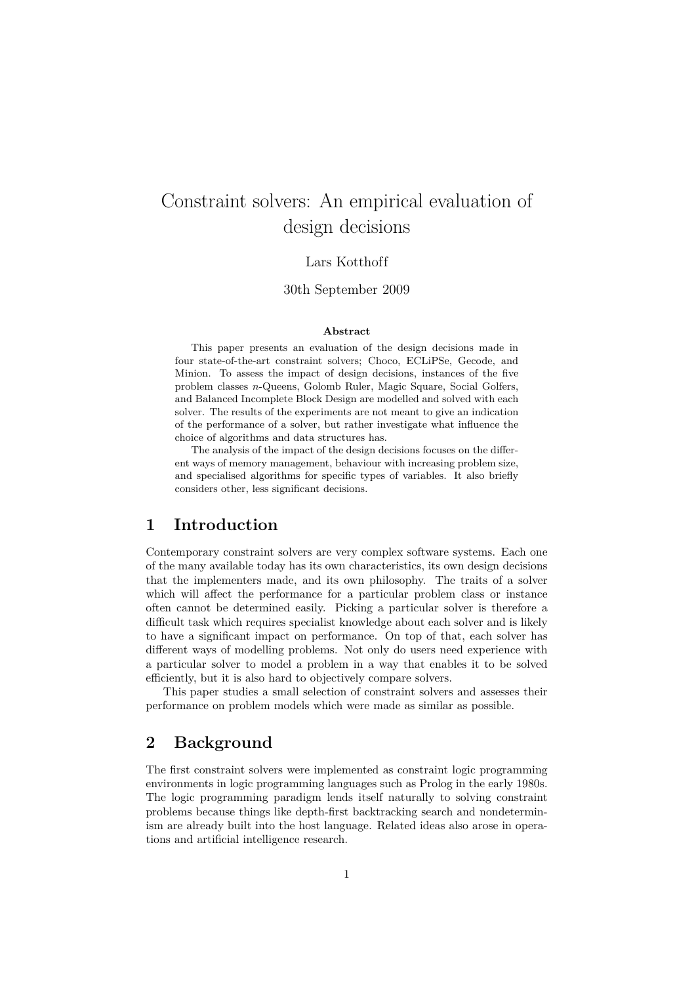# Constraint solvers: An empirical evaluation of design decisions

### Lars Kotthoff

### 30th September 2009

#### **Abstract**

This paper presents an evaluation of the design decisions made in four state-of-the-art constraint solvers; Choco, ECLiPSe, Gecode, and Minion. To assess the impact of design decisions, instances of the five problem classes *n*-Queens, Golomb Ruler, Magic Square, Social Golfers, and Balanced Incomplete Block Design are modelled and solved with each solver. The results of the experiments are not meant to give an indication of the performance of a solver, but rather investigate what influence the choice of algorithms and data structures has.

The analysis of the impact of the design decisions focuses on the different ways of memory management, behaviour with increasing problem size, and specialised algorithms for specific types of variables. It also briefly considers other, less significant decisions.

# **1 Introduction**

Contemporary constraint solvers are very complex software systems. Each one of the many available today has its own characteristics, its own design decisions that the implementers made, and its own philosophy. The traits of a solver which will affect the performance for a particular problem class or instance often cannot be determined easily. Picking a particular solver is therefore a difficult task which requires specialist knowledge about each solver and is likely to have a significant impact on performance. On top of that, each solver has different ways of modelling problems. Not only do users need experience with a particular solver to model a problem in a way that enables it to be solved efficiently, but it is also hard to objectively compare solvers.

This paper studies a small selection of constraint solvers and assesses their performance on problem models which were made as similar as possible.

## **2 Background**

The first constraint solvers were implemented as constraint logic programming environments in logic programming languages such as Prolog in the early 1980s. The logic programming paradigm lends itself naturally to solving constraint problems because things like depth-first backtracking search and nondeterminism are already built into the host language. Related ideas also arose in operations and artificial intelligence research.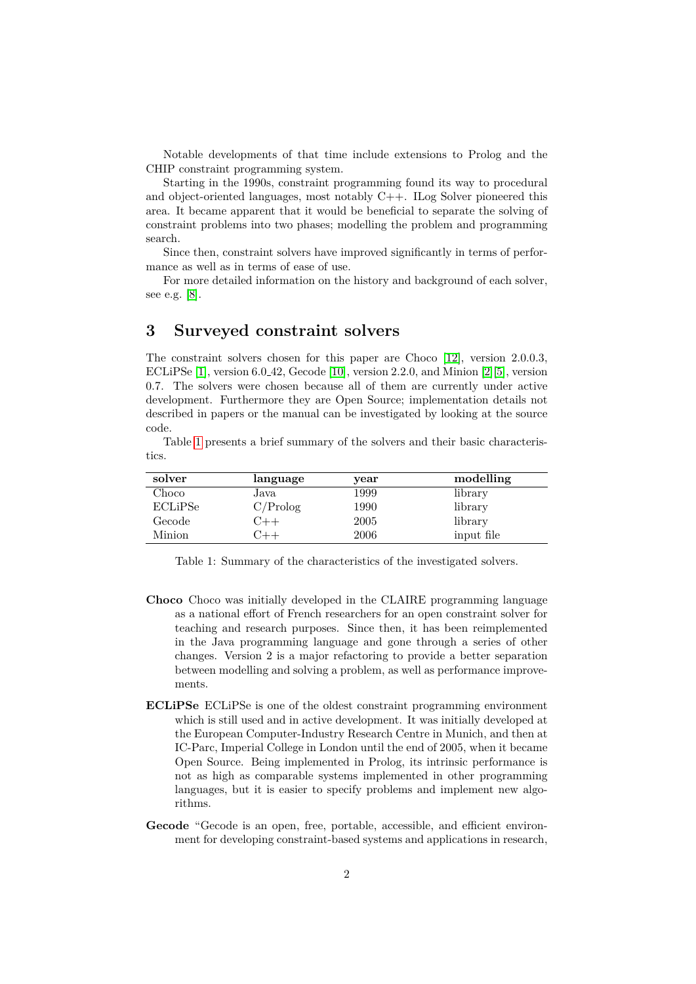Notable developments of that time include extensions to Prolog and the CHIP constraint programming system.

Starting in the 1990s, constraint programming found its way to procedural and object-oriented languages, most notably C++. ILog Solver pioneered this area. It became apparent that it would be beneficial to separate the solving of constraint problems into two phases; modelling the problem and programming search.

Since then, constraint solvers have improved significantly in terms of performance as well as in terms of ease of use.

For more detailed information on the history and background of each solver, see e.g. [\[8\]](#page-22-0).

### **3 Surveyed constraint solvers**

The constraint solvers chosen for this paper are Choco [\[12\]](#page-22-1), version 2.0.0.3, ECLiPSe [\[1\]](#page-21-0), version 6.0 42, Gecode [\[10\]](#page-22-2), version 2.2.0, and Minion [\[2\]](#page-21-1)[\[5\]](#page-22-3), version 0.7. The solvers were chosen because all of them are currently under active development. Furthermore they are Open Source; implementation details not described in papers or the manual can be investigated by looking at the source code.

Table [1](#page-1-0) presents a brief summary of the solvers and their basic characteristics.

| solver  | language | year | modelling  |
|---------|----------|------|------------|
| Choco   | Java     | 1999 | library    |
| ECLiPSe | C/Prolog | 1990 | library    |
| Gecode  | 7++      | 2005 | library    |
| Minion  |          | 2006 | input file |

<span id="page-1-0"></span>Table 1: Summary of the characteristics of the investigated solvers.

- **Choco** Choco was initially developed in the CLAIRE programming language as a national effort of French researchers for an open constraint solver for teaching and research purposes. Since then, it has been reimplemented in the Java programming language and gone through a series of other changes. Version 2 is a major refactoring to provide a better separation between modelling and solving a problem, as well as performance improvements.
- **ECLiPSe** ECLiPSe is one of the oldest constraint programming environment which is still used and in active development. It was initially developed at the European Computer-Industry Research Centre in Munich, and then at IC-Parc, Imperial College in London until the end of 2005, when it became Open Source. Being implemented in Prolog, its intrinsic performance is not as high as comparable systems implemented in other programming languages, but it is easier to specify problems and implement new algorithms.
- **Gecode** "Gecode is an open, free, portable, accessible, and efficient environment for developing constraint-based systems and applications in research,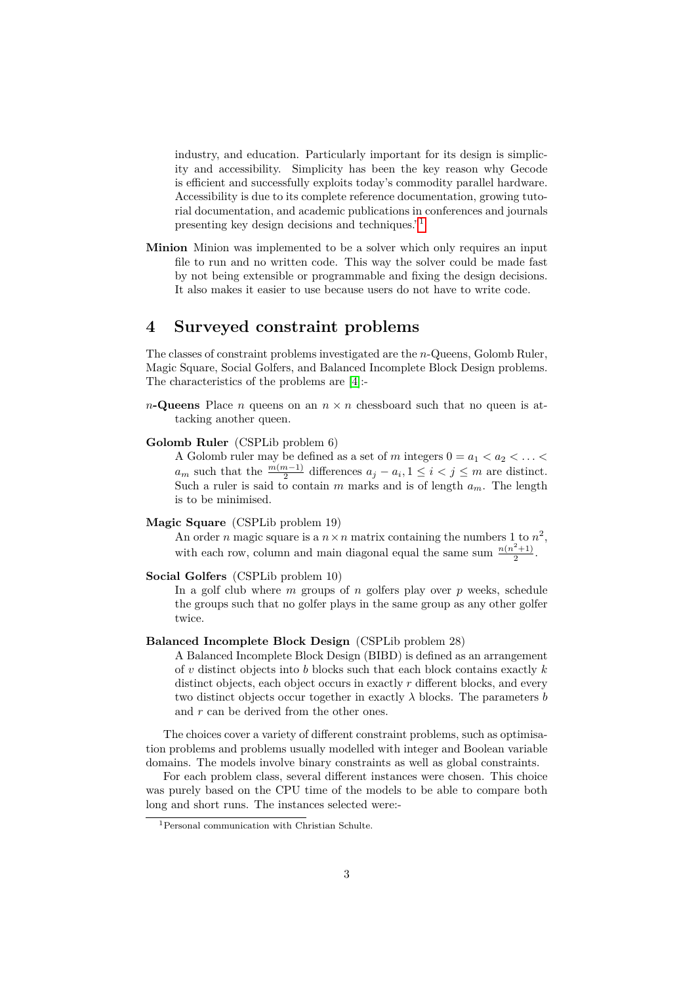industry, and education. Particularly important for its design is simplicity and accessibility. Simplicity has been the key reason why Gecode is efficient and successfully exploits today's commodity parallel hardware. Accessibility is due to its complete reference documentation, growing tutorial documentation, and academic publications in conferences and journals presenting key design decisions and techniques."[1](#page-2-0)

**Minion** Minion was implemented to be a solver which only requires an input file to run and no written code. This way the solver could be made fast by not being extensible or programmable and fixing the design decisions. It also makes it easier to use because users do not have to write code.

# **4 Surveyed constraint problems**

The classes of constraint problems investigated are the *n*-Queens, Golomb Ruler, Magic Square, Social Golfers, and Balanced Incomplete Block Design problems. The characteristics of the problems are [\[4\]](#page-21-2):-

*n***-Queens** Place *n* queens on an  $n \times n$  chessboard such that no queen is attacking another queen.

#### **Golomb Ruler** (CSPLib problem 6)

A Golomb ruler may be defined as a set of  $m$  integers  $0 = a_1 < a_2 < \ldots < a_n$ *a*<sup>*m*</sup> such that the  $\frac{m(m-1)}{2}$  differences  $a_j - a_i, 1 \leq i < j \leq m$  are distinct. Such a ruler is said to contain *m* marks and is of length *am*. The length is to be minimised.

#### **Magic Square** (CSPLib problem 19)

An order *n* magic square is a  $n \times n$  matrix containing the numbers 1 to  $n^2$ , with each row, column and main diagonal equal the same sum  $\frac{n(n^2+1)}{2}$  $\frac{+1}{2}$ .

#### **Social Golfers** (CSPLib problem 10)

In a golf club where *m* groups of *n* golfers play over *p* weeks, schedule the groups such that no golfer plays in the same group as any other golfer twice.

#### **Balanced Incomplete Block Design** (CSPLib problem 28)

A Balanced Incomplete Block Design (BIBD) is defined as an arrangement of *v* distinct objects into *b* blocks such that each block contains exactly *k* distinct objects, each object occurs in exactly *r* different blocks, and every two distinct objects occur together in exactly  $\lambda$  blocks. The parameters *b* and *r* can be derived from the other ones.

The choices cover a variety of different constraint problems, such as optimisation problems and problems usually modelled with integer and Boolean variable domains. The models involve binary constraints as well as global constraints.

For each problem class, several different instances were chosen. This choice was purely based on the CPU time of the models to be able to compare both long and short runs. The instances selected were:-

<span id="page-2-0"></span><sup>1</sup>Personal communication with Christian Schulte.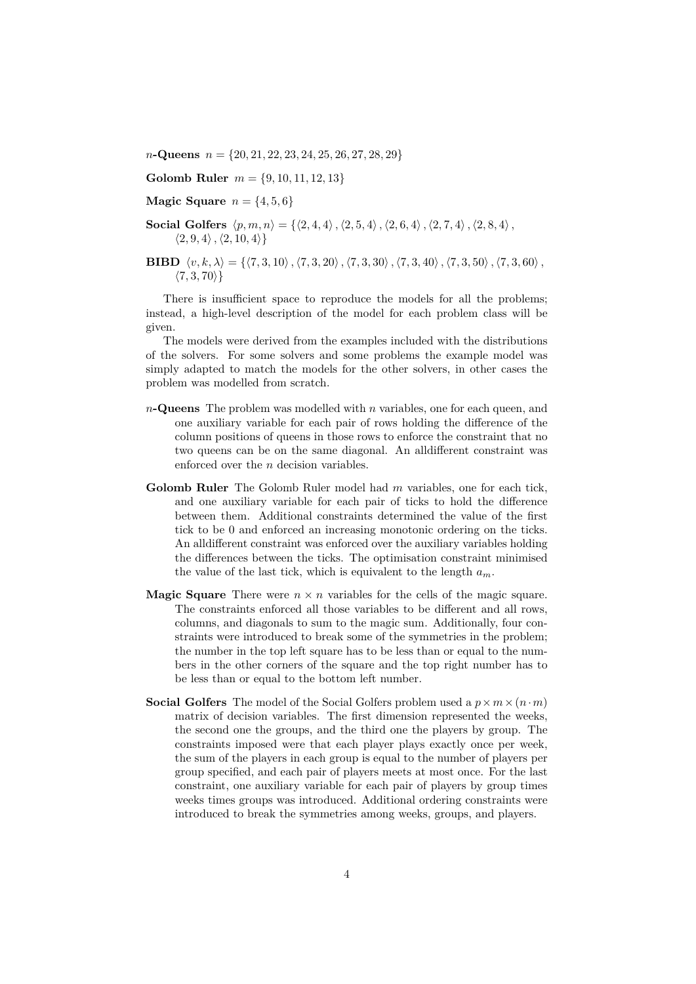*n***-Queens** *n* = *{*20*,* 21*,* 22*,* 23*,* 24*,* 25*,* 26*,* 27*,* 28*,* 29*}*

**Golomb Ruler** *m* = *{*9*,* 10*,* 11*,* 12*,* 13*}*

- **Magic Square**  $n = \{4, 5, 6\}$
- **Social Golfers**  $\langle p, m, n \rangle = \{ \langle 2, 4, 4 \rangle, \langle 2, 5, 4 \rangle, \langle 2, 6, 4 \rangle, \langle 2, 7, 4 \rangle, \langle 2, 8, 4 \rangle, \}$  $\langle 2, 9, 4 \rangle$ ,  $\langle 2, 10, 4 \rangle$
- **BIBD**  $\langle v, k, \lambda \rangle = \{ \langle 7, 3, 10 \rangle, \langle 7, 3, 20 \rangle, \langle 7, 3, 30 \rangle, \langle 7, 3, 40 \rangle, \langle 7, 3, 50 \rangle, \langle 7, 3, 60 \rangle, \}$ *h*7*,* 3*,* 70*i}*

There is insufficient space to reproduce the models for all the problems; instead, a high-level description of the model for each problem class will be given.

The models were derived from the examples included with the distributions of the solvers. For some solvers and some problems the example model was simply adapted to match the models for the other solvers, in other cases the problem was modelled from scratch.

- *n***-Queens** The problem was modelled with *n* variables, one for each queen, and one auxiliary variable for each pair of rows holding the difference of the column positions of queens in those rows to enforce the constraint that no two queens can be on the same diagonal. An alldifferent constraint was enforced over the *n* decision variables.
- **Golomb Ruler** The Golomb Ruler model had *m* variables, one for each tick, and one auxiliary variable for each pair of ticks to hold the difference between them. Additional constraints determined the value of the first tick to be 0 and enforced an increasing monotonic ordering on the ticks. An alldifferent constraint was enforced over the auxiliary variables holding the differences between the ticks. The optimisation constraint minimised the value of the last tick, which is equivalent to the length  $a_m$ .
- **Magic Square** There were  $n \times n$  variables for the cells of the magic square. The constraints enforced all those variables to be different and all rows, columns, and diagonals to sum to the magic sum. Additionally, four constraints were introduced to break some of the symmetries in the problem; the number in the top left square has to be less than or equal to the numbers in the other corners of the square and the top right number has to be less than or equal to the bottom left number.
- **Social Golfers** The model of the Social Golfers problem used a  $p \times m \times (n \cdot m)$ matrix of decision variables. The first dimension represented the weeks, the second one the groups, and the third one the players by group. The constraints imposed were that each player plays exactly once per week, the sum of the players in each group is equal to the number of players per group specified, and each pair of players meets at most once. For the last constraint, one auxiliary variable for each pair of players by group times weeks times groups was introduced. Additional ordering constraints were introduced to break the symmetries among weeks, groups, and players.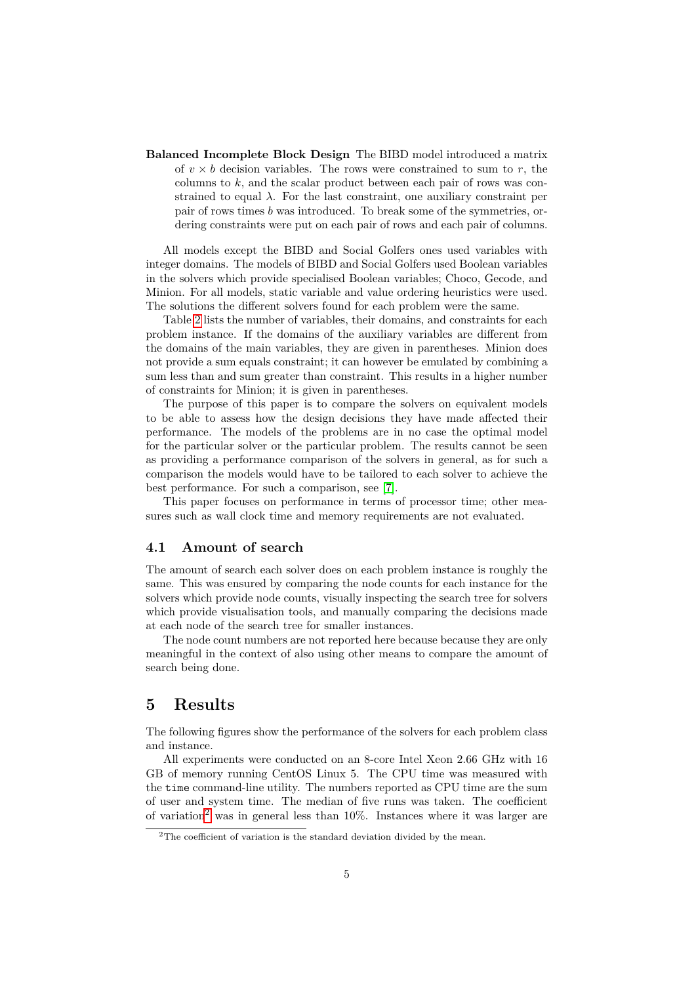**Balanced Incomplete Block Design** The BIBD model introduced a matrix of  $v \times b$  decision variables. The rows were constrained to sum to r, the columns to *k*, and the scalar product between each pair of rows was constrained to equal  $\lambda$ . For the last constraint, one auxiliary constraint per pair of rows times *b* was introduced. To break some of the symmetries, ordering constraints were put on each pair of rows and each pair of columns.

All models except the BIBD and Social Golfers ones used variables with integer domains. The models of BIBD and Social Golfers used Boolean variables in the solvers which provide specialised Boolean variables; Choco, Gecode, and Minion. For all models, static variable and value ordering heuristics were used. The solutions the different solvers found for each problem were the same.

Table [2](#page-5-0) lists the number of variables, their domains, and constraints for each problem instance. If the domains of the auxiliary variables are different from the domains of the main variables, they are given in parentheses. Minion does not provide a sum equals constraint; it can however be emulated by combining a sum less than and sum greater than constraint. This results in a higher number of constraints for Minion; it is given in parentheses.

The purpose of this paper is to compare the solvers on equivalent models to be able to assess how the design decisions they have made affected their performance. The models of the problems are in no case the optimal model for the particular solver or the particular problem. The results cannot be seen as providing a performance comparison of the solvers in general, as for such a comparison the models would have to be tailored to each solver to achieve the best performance. For such a comparison, see [\[7\]](#page-22-4).

This paper focuses on performance in terms of processor time; other measures such as wall clock time and memory requirements are not evaluated.

#### **4.1 Amount of search**

The amount of search each solver does on each problem instance is roughly the same. This was ensured by comparing the node counts for each instance for the solvers which provide node counts, visually inspecting the search tree for solvers which provide visualisation tools, and manually comparing the decisions made at each node of the search tree for smaller instances.

The node count numbers are not reported here because because they are only meaningful in the context of also using other means to compare the amount of search being done.

## **5 Results**

The following figures show the performance of the solvers for each problem class and instance.

All experiments were conducted on an 8-core Intel Xeon 2.66 GHz with 16 GB of memory running CentOS Linux 5. The CPU time was measured with the time command-line utility. The numbers reported as CPU time are the sum of user and system time. The median of five runs was taken. The coefficient of variation<sup>[2](#page-4-0)</sup> was in general less than  $10\%$ . Instances where it was larger are

<span id="page-4-0"></span><sup>&</sup>lt;sup>2</sup>The coefficient of variation is the standard deviation divided by the mean.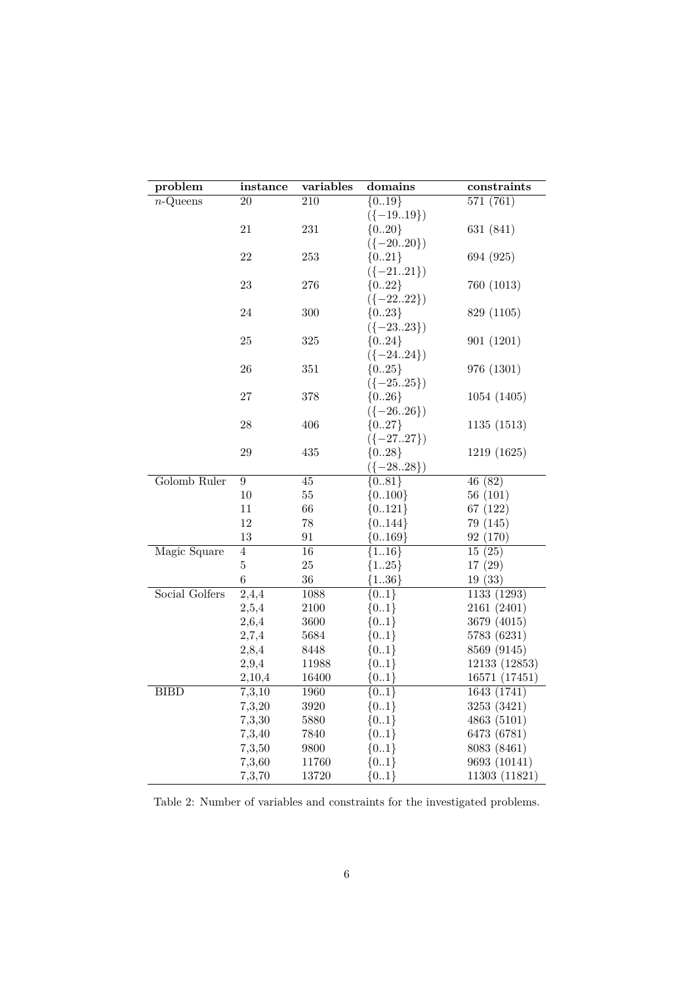| problem        | instance           | variables        | domains          | constraints                   |
|----------------|--------------------|------------------|------------------|-------------------------------|
| $n$ -Queens    | 20                 | $\overline{210}$ | ${0.19}$         | 571(761)                      |
|                |                    |                  | $({-1919})$      |                               |
|                | $21\,$             | 231              | ${020}$          | 631 (841)                     |
|                |                    |                  | $({-2020})$      |                               |
|                | 22                 | $253\,$          | ${021}$          | 694 (925)                     |
|                |                    |                  | $({-2121})$      |                               |
|                | 23                 | 276              | ${022}$          | 760 (1013)                    |
|                |                    |                  | $({-2222})$      |                               |
|                | 24                 | 300              | ${023}$          | 829 (1105)                    |
|                |                    |                  | $({-2323})$      |                               |
|                | 25                 | $325\,$          | ${024}$          | 901 (1201)                    |
|                |                    |                  | $({-2424})$      |                               |
|                | $26\,$             | $351\,$          | ${025}$          | 976 (1301)                    |
|                |                    |                  | $({-2525})$      |                               |
|                | 27                 | 378              | ${026}$          | 1054 (1405)                   |
|                |                    |                  | $({-2626})$      |                               |
|                | 28                 | 406              | ${027}$          | 1135(1513)                    |
|                |                    |                  | $({-2727})$      |                               |
|                | $29\,$             | 435              | ${028}$          | 1219 (1625)                   |
|                |                    |                  | $({-2828})$      |                               |
| Golomb Ruler   | $\overline{9}$     | $\overline{45}$  | ${0.81}$         | 46(82)                        |
|                | 10                 | $55\,$           | ${0100}$         | 56(101)                       |
|                | 11                 | 66               | ${0121}$         | 67 (122)                      |
|                | 12                 | 78               | ${0.144}$        | 79 (145)                      |
|                | 13                 | 91               | ${0.169}$        | 92 (170)                      |
| Magic Square   | $\overline{4}$     | 16               | ${116}$          | 15(25)                        |
|                | $\bf 5$            | $25\,$           | ${125}$          | 17(29)                        |
|                | $\boldsymbol{6}$   | 36               | ${136}$          | 19(33)                        |
| Social Golfers | $\overline{2,}4,4$ | 1088             | ${01}$           | 1133 (1293)                   |
|                | 2,5,4              | 2100             | ${01}$           | 2161 (2401)                   |
|                | 2,6,4              | 3600             | ${01}$           | 3679 (4015)                   |
|                | 2,7,4              | 5684             | ${01}$           | 5783 (6231)                   |
|                | 2,8,4              | 8448             | ${01}$           | 8569 (9145)                   |
|                | 2,9,4              | 11988            | ${01}$           | 12133 (12853)                 |
|                | 2,10,4             | 16400            | ${01}$           | 16571 (17451)                 |
| <b>BIBD</b>    | 7,3,10             | 1960             | ${01}$           | 1643 (1741)<br>3253 (3421)    |
|                | 7,3,20             | 3920<br>5880     | ${01}$<br>${01}$ | 4863 (5101)                   |
|                | 7,3,30             |                  |                  |                               |
|                | 7,3,40             | 7840             | ${01}$           | 6473 (6781)                   |
|                | 7,3,50             | 9800             | ${01}$           | 8083 (8461)                   |
|                | 7,3,60<br>7,3,70   | 11760<br>13720   | ${01}$<br>${01}$ | 9693 (10141)<br>11303 (11821) |
|                |                    |                  |                  |                               |

<span id="page-5-0"></span>Table 2: Number of variables and constraints for the investigated problems.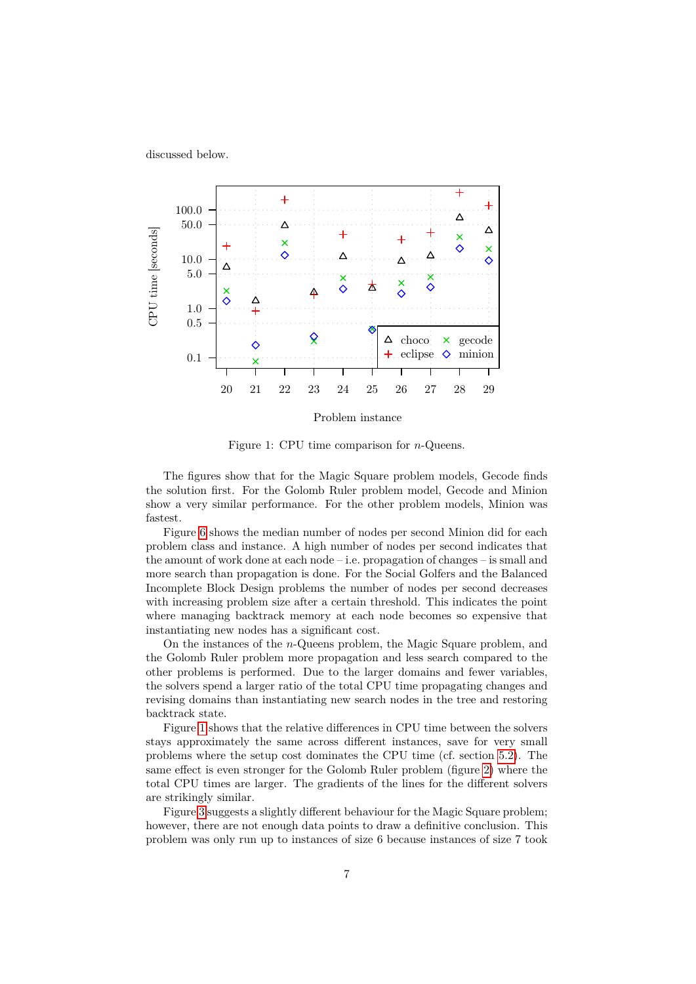discussed below.



<span id="page-6-0"></span>Figure 1: CPU time comparison for *n*-Queens.

The figures show that for the Magic Square problem models, Gecode finds the solution first. For the Golomb Ruler problem model, Gecode and Minion show a very similar performance. For the other problem models, Minion was fastest.

Figure [6](#page-9-0) shows the median number of nodes per second Minion did for each problem class and instance. A high number of nodes per second indicates that the amount of work done at each node – i.e. propagation of changes – is small and more search than propagation is done. For the Social Golfers and the Balanced Incomplete Block Design problems the number of nodes per second decreases with increasing problem size after a certain threshold. This indicates the point where managing backtrack memory at each node becomes so expensive that instantiating new nodes has a significant cost.

On the instances of the *n*-Queens problem, the Magic Square problem, and the Golomb Ruler problem more propagation and less search compared to the other problems is performed. Due to the larger domains and fewer variables, the solvers spend a larger ratio of the total CPU time propagating changes and revising domains than instantiating new search nodes in the tree and restoring backtrack state.

Figure [1](#page-6-0) shows that the relative differences in CPU time between the solvers stays approximately the same across different instances, save for very small problems where the setup cost dominates the CPU time (cf. section [5.2\)](#page-11-0). The same effect is even stronger for the Golomb Ruler problem (figure [2\)](#page-7-0) where the total CPU times are larger. The gradients of the lines for the different solvers are strikingly similar.

Figure [3](#page-7-1) suggests a slightly different behaviour for the Magic Square problem; however, there are not enough data points to draw a definitive conclusion. This problem was only run up to instances of size 6 because instances of size 7 took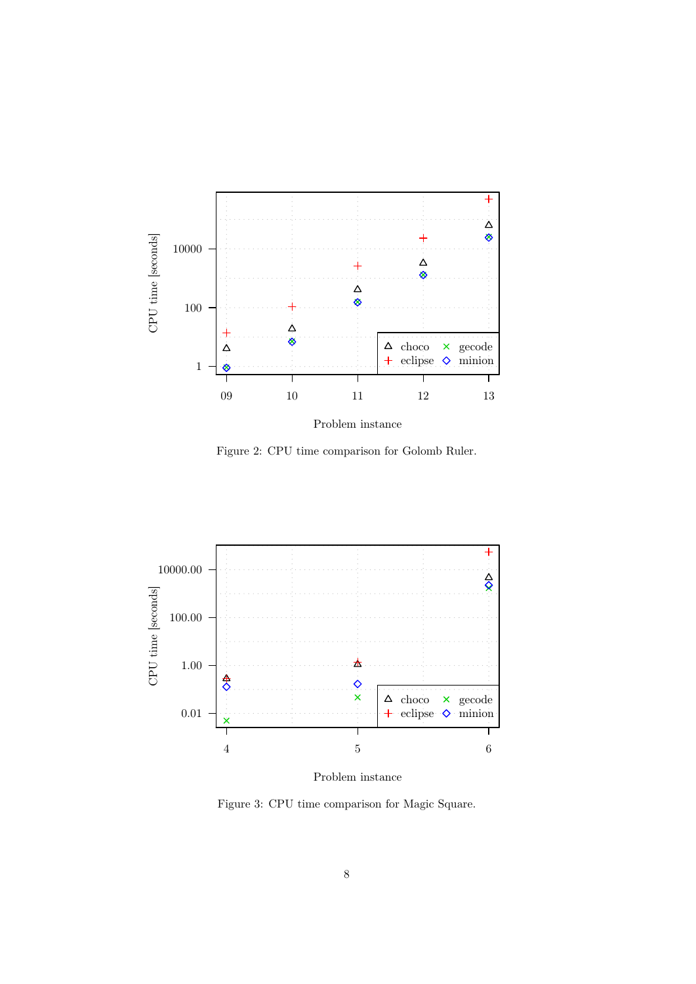

<span id="page-7-0"></span>

Figure 2: CPU time comparison for Golomb Ruler.



<span id="page-7-1"></span>Problem instance

Figure 3: CPU time comparison for Magic Square.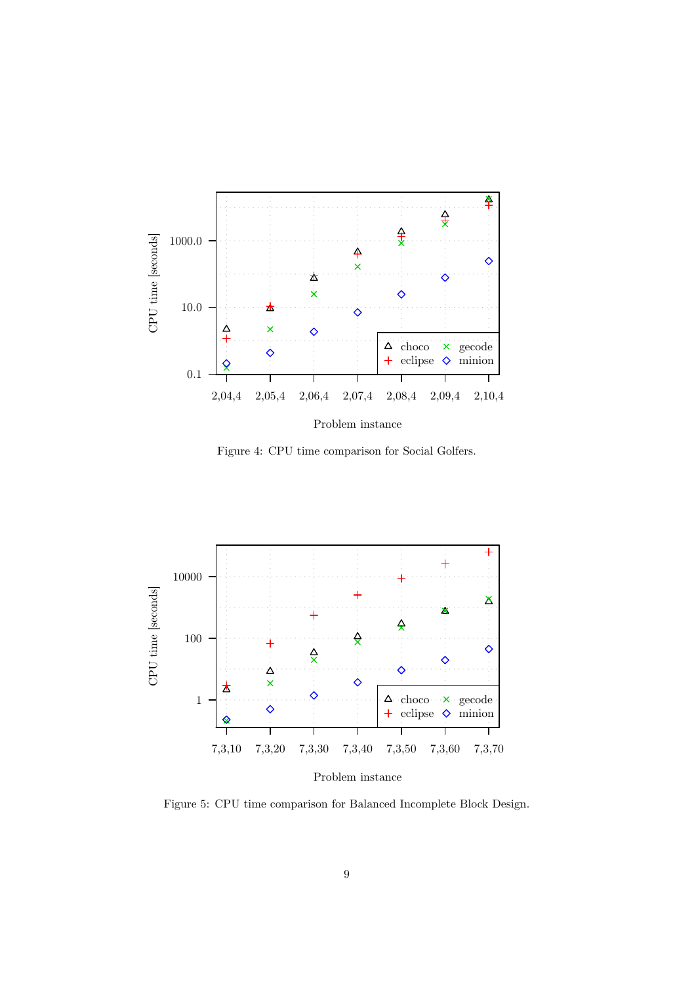

<span id="page-8-0"></span>Figure 4: CPU time comparison for Social Golfers.



<span id="page-8-1"></span>Figure 5: CPU time comparison for Balanced Incomplete Block Design.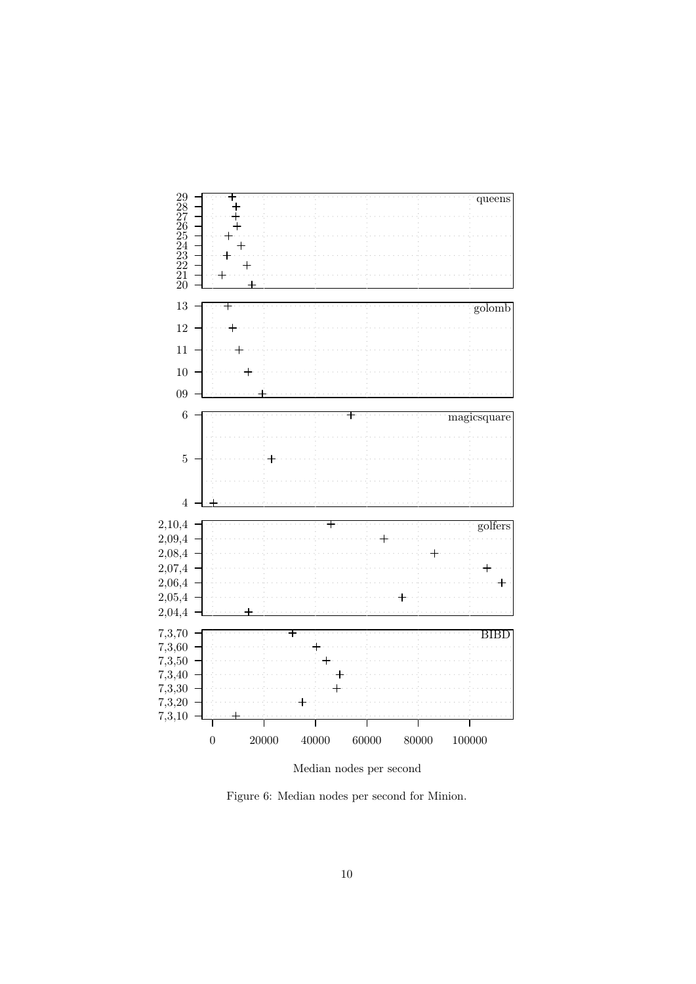

<span id="page-9-0"></span>Median nodes per second

Figure 6: Median nodes per second for Minion.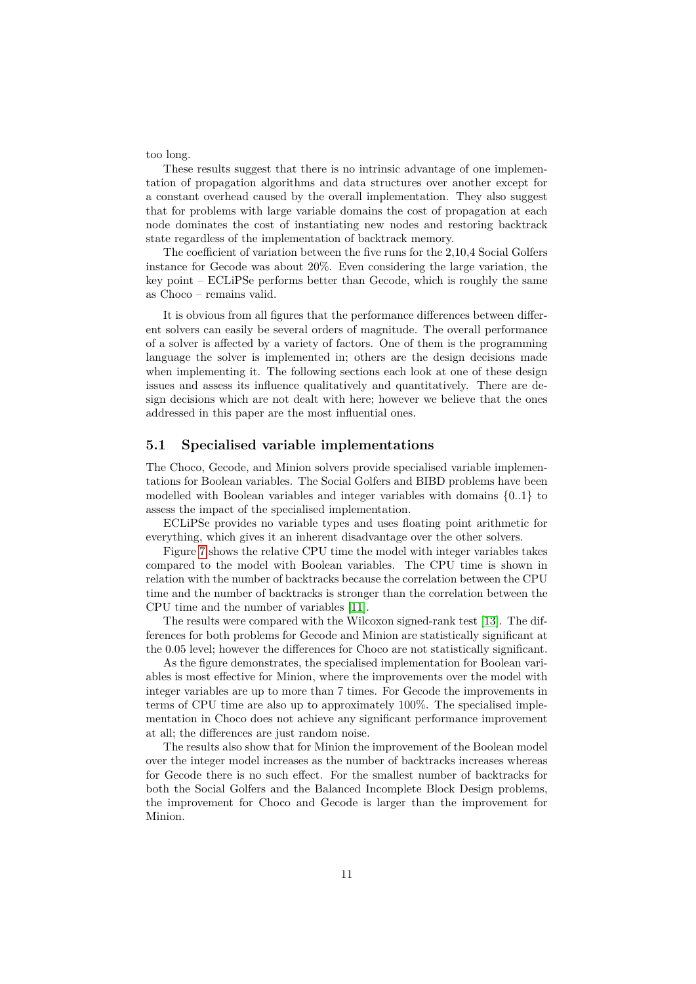too long.

These results suggest that there is no intrinsic advantage of one implementation of propagation algorithms and data structures over another except for a constant overhead caused by the overall implementation. They also suggest that for problems with large variable domains the cost of propagation at each node dominates the cost of instantiating new nodes and restoring backtrack state regardless of the implementation of backtrack memory.

The coefficient of variation between the five runs for the 2,10,4 Social Golfers instance for Gecode was about 20%. Even considering the large variation, the key point – ECLiPSe performs better than Gecode, which is roughly the same as Choco – remains valid.

It is obvious from all figures that the performance differences between different solvers can easily be several orders of magnitude. The overall performance of a solver is affected by a variety of factors. One of them is the programming language the solver is implemented in; others are the design decisions made when implementing it. The following sections each look at one of these design issues and assess its influence qualitatively and quantitatively. There are design decisions which are not dealt with here; however we believe that the ones addressed in this paper are the most influential ones.

#### **5.1 Specialised variable implementations**

The Choco, Gecode, and Minion solvers provide specialised variable implementations for Boolean variables. The Social Golfers and BIBD problems have been modelled with Boolean variables and integer variables with domains *{*0*..*1*}* to assess the impact of the specialised implementation.

ECLiPSe provides no variable types and uses floating point arithmetic for everything, which gives it an inherent disadvantage over the other solvers.

Figure [7](#page-11-1) shows the relative CPU time the model with integer variables takes compared to the model with Boolean variables. The CPU time is shown in relation with the number of backtracks because the correlation between the CPU time and the number of backtracks is stronger than the correlation between the CPU time and the number of variables [\[11\]](#page-22-5).

The results were compared with the Wilcoxon signed-rank test [\[13\]](#page-22-6). The differences for both problems for Gecode and Minion are statistically significant at the 0.05 level; however the differences for Choco are not statistically significant.

As the figure demonstrates, the specialised implementation for Boolean variables is most effective for Minion, where the improvements over the model with integer variables are up to more than 7 times. For Gecode the improvements in terms of CPU time are also up to approximately 100%. The specialised implementation in Choco does not achieve any significant performance improvement at all; the differences are just random noise.

The results also show that for Minion the improvement of the Boolean model over the integer model increases as the number of backtracks increases whereas for Gecode there is no such effect. For the smallest number of backtracks for both the Social Golfers and the Balanced Incomplete Block Design problems, the improvement for Choco and Gecode is larger than the improvement for Minion.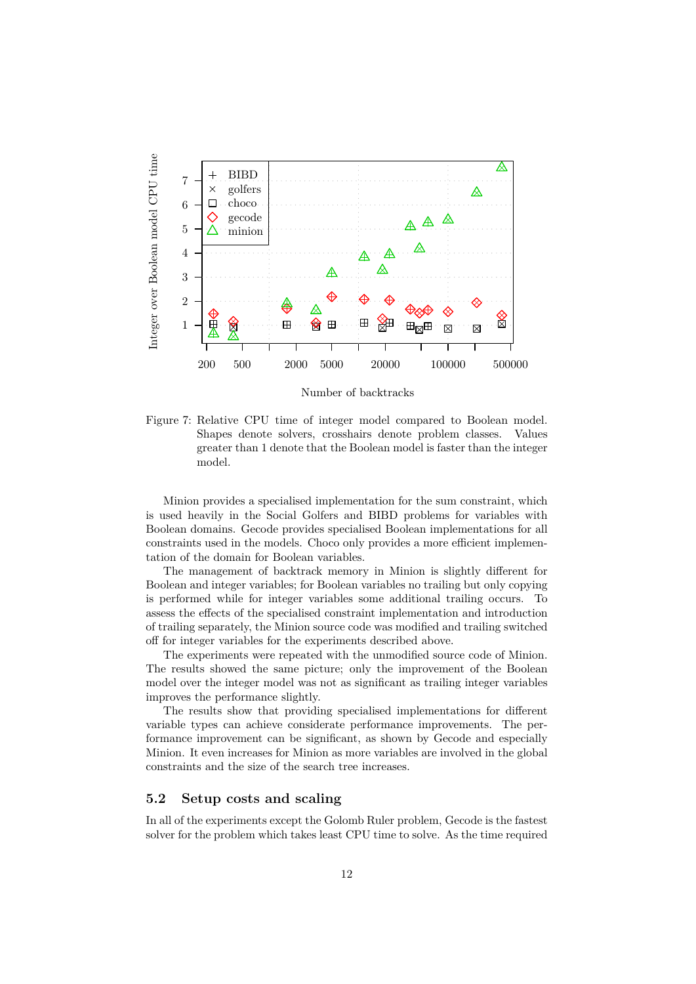

Number of backtracks

<span id="page-11-1"></span>Figure 7: Relative CPU time of integer model compared to Boolean model. Shapes denote solvers, crosshairs denote problem classes. Values greater than 1 denote that the Boolean model is faster than the integer model.

Minion provides a specialised implementation for the sum constraint, which is used heavily in the Social Golfers and BIBD problems for variables with Boolean domains. Gecode provides specialised Boolean implementations for all constraints used in the models. Choco only provides a more efficient implementation of the domain for Boolean variables.

The management of backtrack memory in Minion is slightly different for Boolean and integer variables; for Boolean variables no trailing but only copying is performed while for integer variables some additional trailing occurs. To assess the effects of the specialised constraint implementation and introduction of trailing separately, the Minion source code was modified and trailing switched off for integer variables for the experiments described above.

The experiments were repeated with the unmodified source code of Minion. The results showed the same picture; only the improvement of the Boolean model over the integer model was not as significant as trailing integer variables improves the performance slightly.

The results show that providing specialised implementations for different variable types can achieve considerate performance improvements. The performance improvement can be significant, as shown by Gecode and especially Minion. It even increases for Minion as more variables are involved in the global constraints and the size of the search tree increases.

### <span id="page-11-0"></span>**5.2 Setup costs and scaling**

In all of the experiments except the Golomb Ruler problem, Gecode is the fastest solver for the problem which takes least CPU time to solve. As the time required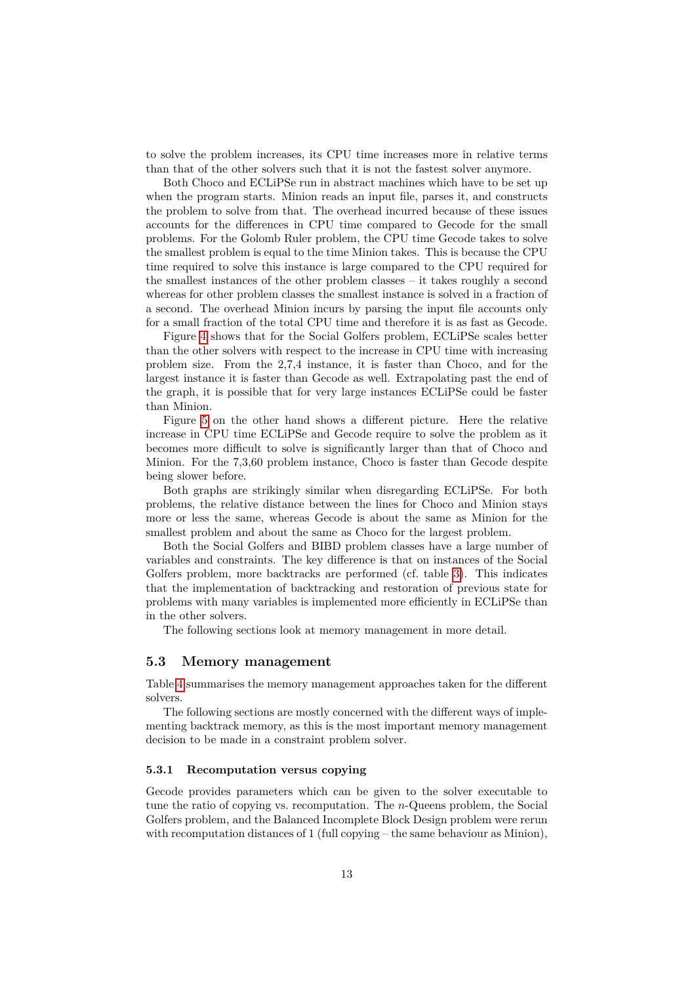to solve the problem increases, its CPU time increases more in relative terms than that of the other solvers such that it is not the fastest solver anymore.

Both Choco and ECLiPSe run in abstract machines which have to be set up when the program starts. Minion reads an input file, parses it, and constructs the problem to solve from that. The overhead incurred because of these issues accounts for the differences in CPU time compared to Gecode for the small problems. For the Golomb Ruler problem, the CPU time Gecode takes to solve the smallest problem is equal to the time Minion takes. This is because the CPU time required to solve this instance is large compared to the CPU required for the smallest instances of the other problem classes – it takes roughly a second whereas for other problem classes the smallest instance is solved in a fraction of a second. The overhead Minion incurs by parsing the input file accounts only for a small fraction of the total CPU time and therefore it is as fast as Gecode.

Figure [4](#page-8-0) shows that for the Social Golfers problem, ECLiPSe scales better than the other solvers with respect to the increase in CPU time with increasing problem size. From the 2,7,4 instance, it is faster than Choco, and for the largest instance it is faster than Gecode as well. Extrapolating past the end of the graph, it is possible that for very large instances ECLiPSe could be faster than Minion.

Figure [5](#page-8-1) on the other hand shows a different picture. Here the relative increase in CPU time ECLiPSe and Gecode require to solve the problem as it becomes more difficult to solve is significantly larger than that of Choco and Minion. For the 7,3,60 problem instance, Choco is faster than Gecode despite being slower before.

Both graphs are strikingly similar when disregarding ECLiPSe. For both problems, the relative distance between the lines for Choco and Minion stays more or less the same, whereas Gecode is about the same as Minion for the smallest problem and about the same as Choco for the largest problem.

Both the Social Golfers and BIBD problem classes have a large number of variables and constraints. The key difference is that on instances of the Social Golfers problem, more backtracks are performed (cf. table [3\)](#page-13-0). This indicates that the implementation of backtracking and restoration of previous state for problems with many variables is implemented more efficiently in ECLiPSe than in the other solvers.

The following sections look at memory management in more detail.

#### **5.3 Memory management**

Table [4](#page-13-1) summarises the memory management approaches taken for the different solvers.

The following sections are mostly concerned with the different ways of implementing backtrack memory, as this is the most important memory management decision to be made in a constraint problem solver.

#### **5.3.1 Recomputation versus copying**

Gecode provides parameters which can be given to the solver executable to tune the ratio of copying vs. recomputation. The *n*-Queens problem, the Social Golfers problem, and the Balanced Incomplete Block Design problem were rerun with recomputation distances of 1 (full copying – the same behaviour as Minion),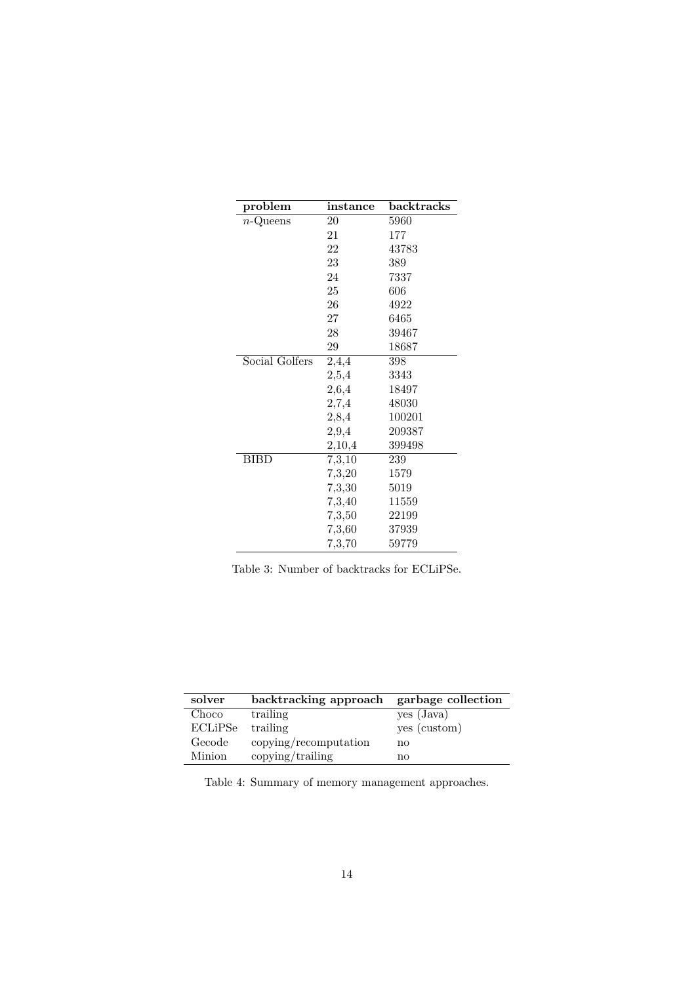| problem        | $\bold{instance}$ | backtracks |
|----------------|-------------------|------------|
| $n$ -Queens    | 20                | 5960       |
|                | 21                | 177        |
|                | 22                | 43783      |
|                | 23                | 389        |
|                | 24                | 7337       |
|                | 25                | 606        |
|                | 26                | 4922       |
|                | 27                | 6465       |
|                | 28                | 39467      |
|                | 29                | 18687      |
| Social Golfers | 2,4,4             | 398        |
|                | 2,5,4             | 3343       |
|                | 2,6,4             | 18497      |
|                | 2,7,4             | 48030      |
|                | 2,8,4             | 100201     |
|                | 2,9,4             | 209387     |
|                | 2,10,4            | 399498     |
| <b>BIBD</b>    | 7,3,10            | 239        |
|                | 7,3,20            | 1579       |
|                | 7,3,30            | 5019       |
|                | 7,3,40            | 11559      |
|                | 7,3,50            | 22199      |
|                | 7,3,60            | 37939      |
|                | 7,3,70            | 59779      |

<span id="page-13-0"></span>Table 3: Number of backtracks for ECLiPSe.

| solver        | backtracking approach | garbage collection |
|---------------|-----------------------|--------------------|
| Choco         | trailing              | yes (Java)         |
| ECLiPSe       | trailing              | yes (custom)       |
| Gecode        | copying/recomputation | no                 |
| <b>Minion</b> | copying/trailing      | nο                 |

<span id="page-13-1"></span>Table 4: Summary of memory management approaches.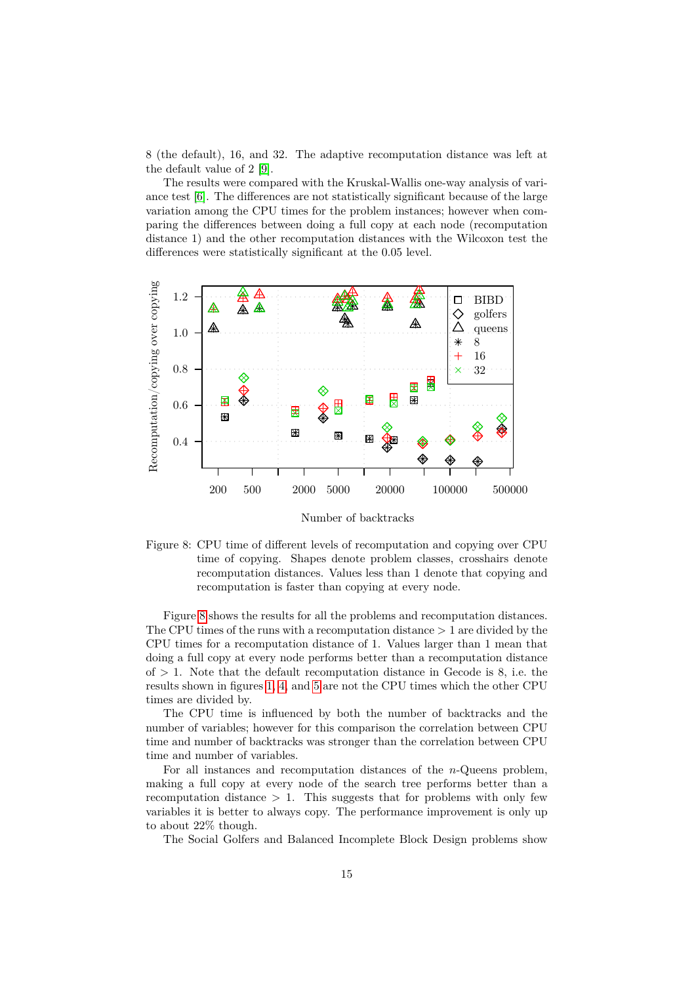8 (the default), 16, and 32. The adaptive recomputation distance was left at the default value of 2 [\[9\]](#page-22-7).

The results were compared with the Kruskal-Wallis one-way analysis of variance test [\[6\]](#page-22-8). The differences are not statistically significant because of the large variation among the CPU times for the problem instances; however when comparing the differences between doing a full copy at each node (recomputation distance 1) and the other recomputation distances with the Wilcoxon test the differences were statistically significant at the 0.05 level.



Number of backtracks

<span id="page-14-0"></span>Figure 8: CPU time of different levels of recomputation and copying over CPU time of copying. Shapes denote problem classes, crosshairs denote recomputation distances. Values less than 1 denote that copying and recomputation is faster than copying at every node.

Figure [8](#page-14-0) shows the results for all the problems and recomputation distances. The CPU times of the runs with a recomputation distance *>* 1 are divided by the CPU times for a recomputation distance of 1. Values larger than 1 mean that doing a full copy at every node performs better than a recomputation distance of  $> 1$ . Note that the default recomputation distance in Gecode is 8, i.e. the results shown in figures [1,](#page-6-0) [4,](#page-8-0) and [5](#page-8-1) are not the CPU times which the other CPU times are divided by.

The CPU time is influenced by both the number of backtracks and the number of variables; however for this comparison the correlation between CPU time and number of backtracks was stronger than the correlation between CPU time and number of variables.

For all instances and recomputation distances of the *n*-Queens problem, making a full copy at every node of the search tree performs better than a recomputation distance  $> 1$ . This suggests that for problems with only few variables it is better to always copy. The performance improvement is only up to about 22% though.

The Social Golfers and Balanced Incomplete Block Design problems show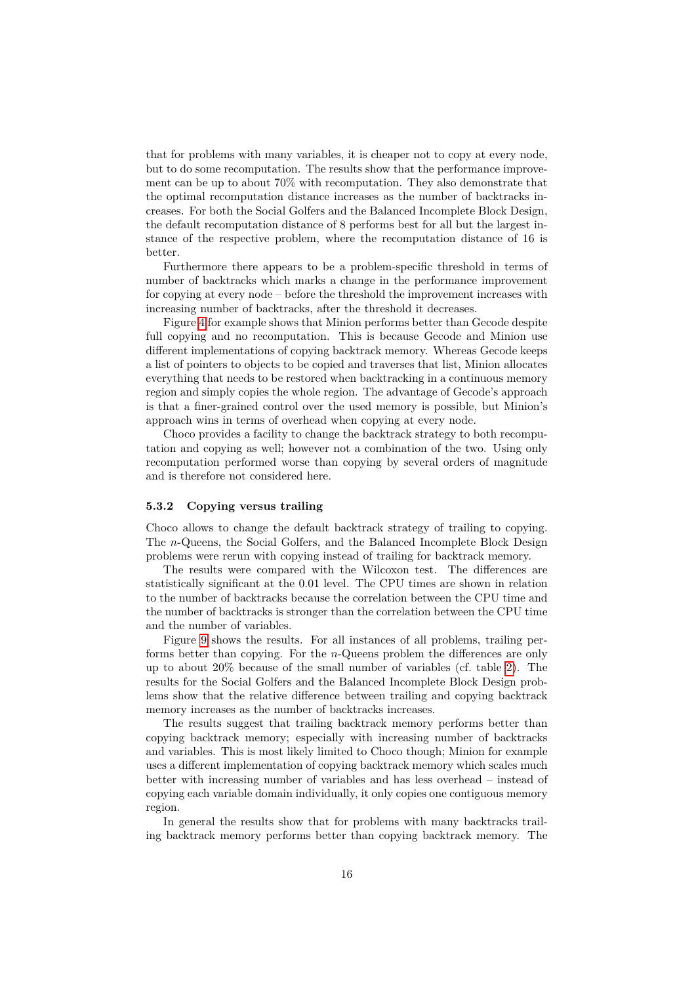that for problems with many variables, it is cheaper not to copy at every node, but to do some recomputation. The results show that the performance improvement can be up to about 70% with recomputation. They also demonstrate that the optimal recomputation distance increases as the number of backtracks increases. For both the Social Golfers and the Balanced Incomplete Block Design, the default recomputation distance of 8 performs best for all but the largest instance of the respective problem, where the recomputation distance of 16 is better.

Furthermore there appears to be a problem-specific threshold in terms of number of backtracks which marks a change in the performance improvement for copying at every node – before the threshold the improvement increases with increasing number of backtracks, after the threshold it decreases.

Figure [4](#page-8-0) for example shows that Minion performs better than Gecode despite full copying and no recomputation. This is because Gecode and Minion use different implementations of copying backtrack memory. Whereas Gecode keeps a list of pointers to objects to be copied and traverses that list, Minion allocates everything that needs to be restored when backtracking in a continuous memory region and simply copies the whole region. The advantage of Gecode's approach is that a finer-grained control over the used memory is possible, but Minion's approach wins in terms of overhead when copying at every node.

Choco provides a facility to change the backtrack strategy to both recomputation and copying as well; however not a combination of the two. Using only recomputation performed worse than copying by several orders of magnitude and is therefore not considered here.

#### **5.3.2 Copying versus trailing**

Choco allows to change the default backtrack strategy of trailing to copying. The *n*-Queens, the Social Golfers, and the Balanced Incomplete Block Design problems were rerun with copying instead of trailing for backtrack memory.

The results were compared with the Wilcoxon test. The differences are statistically significant at the 0.01 level. The CPU times are shown in relation to the number of backtracks because the correlation between the CPU time and the number of backtracks is stronger than the correlation between the CPU time and the number of variables.

Figure [9](#page-16-0) shows the results. For all instances of all problems, trailing performs better than copying. For the *n*-Queens problem the differences are only up to about 20% because of the small number of variables (cf. table [2\)](#page-5-0). The results for the Social Golfers and the Balanced Incomplete Block Design problems show that the relative difference between trailing and copying backtrack memory increases as the number of backtracks increases.

The results suggest that trailing backtrack memory performs better than copying backtrack memory; especially with increasing number of backtracks and variables. This is most likely limited to Choco though; Minion for example uses a different implementation of copying backtrack memory which scales much better with increasing number of variables and has less overhead – instead of copying each variable domain individually, it only copies one contiguous memory region.

In general the results show that for problems with many backtracks trailing backtrack memory performs better than copying backtrack memory. The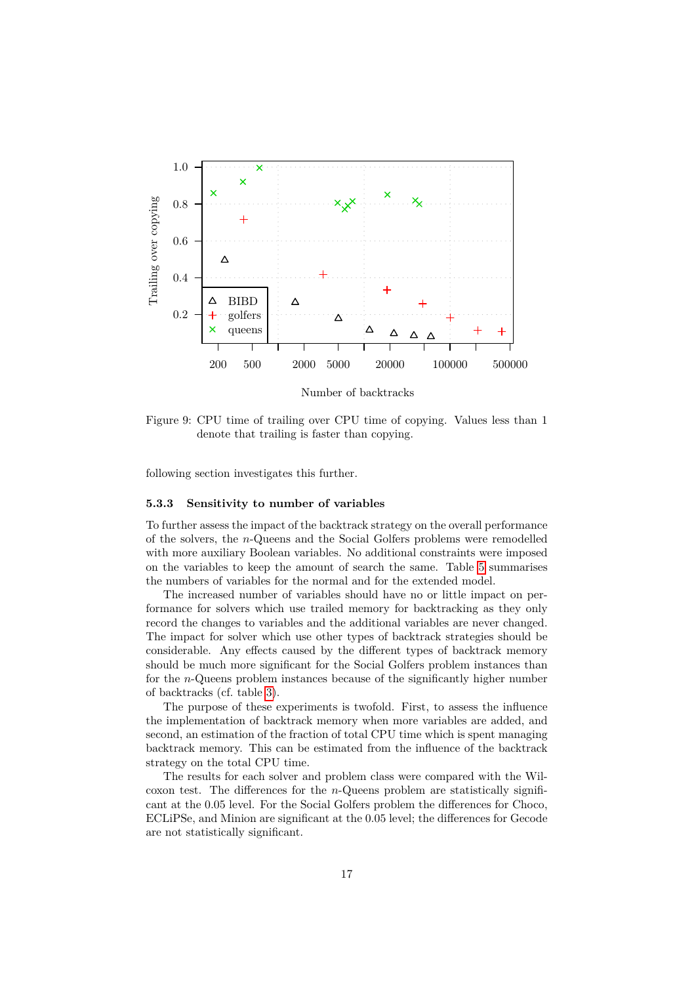

Number of backtracks

<span id="page-16-0"></span>Figure 9: CPU time of trailing over CPU time of copying. Values less than 1 denote that trailing is faster than copying.

following section investigates this further.

#### **5.3.3 Sensitivity to number of variables**

To further assess the impact of the backtrack strategy on the overall performance of the solvers, the *n*-Queens and the Social Golfers problems were remodelled with more auxiliary Boolean variables. No additional constraints were imposed on the variables to keep the amount of search the same. Table [5](#page-17-0) summarises the numbers of variables for the normal and for the extended model.

The increased number of variables should have no or little impact on performance for solvers which use trailed memory for backtracking as they only record the changes to variables and the additional variables are never changed. The impact for solver which use other types of backtrack strategies should be considerable. Any effects caused by the different types of backtrack memory should be much more significant for the Social Golfers problem instances than for the *n*-Queens problem instances because of the significantly higher number of backtracks (cf. table [3\)](#page-13-0).

The purpose of these experiments is twofold. First, to assess the influence the implementation of backtrack memory when more variables are added, and second, an estimation of the fraction of total CPU time which is spent managing backtrack memory. This can be estimated from the influence of the backtrack strategy on the total CPU time.

The results for each solver and problem class were compared with the Wilcoxon test. The differences for the *n*-Queens problem are statistically significant at the 0.05 level. For the Social Golfers problem the differences for Choco, ECLiPSe, and Minion are significant at the 0.05 level; the differences for Gecode are not statistically significant.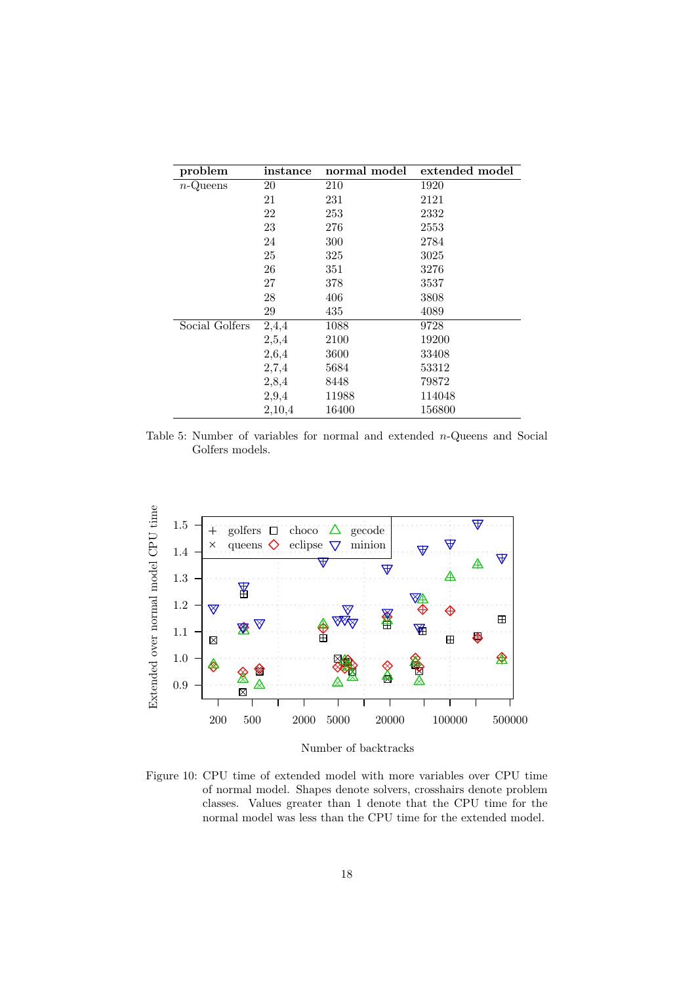| problem        | instance | normal model | extended model |
|----------------|----------|--------------|----------------|
| $n$ -Queens    | $20\,$   | 210          | 1920           |
|                | 21       | 231          | 2121           |
|                | 22       | 253          | 2332           |
|                | 23       | 276          | 2553           |
|                | 24       | 300          | 2784           |
|                | 25       | 325          | 3025           |
|                | 26       | 351          | 3276           |
|                | 27       | 378          | 3537           |
|                | 28       | 406          | 3808           |
|                | 29       | 435          | 4089           |
| Social Golfers | 2,4,4    | 1088         | 9728           |
|                | 2,5,4    | 2100         | 19200          |
|                | 2,6,4    | 3600         | 33408          |
|                | 2,7,4    | 5684         | 53312          |
|                | 2,8,4    | 8448         | 79872          |
|                | 2,9,4    | 11988        | 114048         |
|                | 2,10,4   | 16400        | 156800         |

<span id="page-17-0"></span>Table 5: Number of variables for normal and extended *n*-Queens and Social Golfers models.



Number of backtracks

<span id="page-17-1"></span>Figure 10: CPU time of extended model with more variables over CPU time of normal model. Shapes denote solvers, crosshairs denote problem classes. Values greater than 1 denote that the CPU time for the normal model was less than the CPU time for the extended model.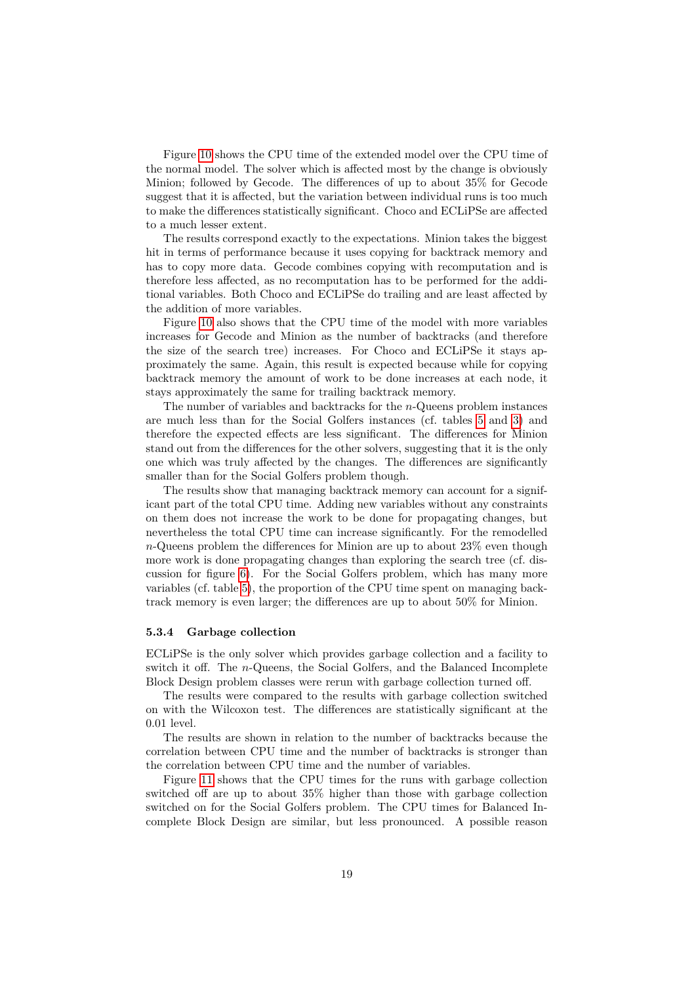Figure [10](#page-17-1) shows the CPU time of the extended model over the CPU time of the normal model. The solver which is affected most by the change is obviously Minion; followed by Gecode. The differences of up to about 35% for Gecode suggest that it is affected, but the variation between individual runs is too much to make the differences statistically significant. Choco and ECLiPSe are affected to a much lesser extent.

The results correspond exactly to the expectations. Minion takes the biggest hit in terms of performance because it uses copying for backtrack memory and has to copy more data. Gecode combines copying with recomputation and is therefore less affected, as no recomputation has to be performed for the additional variables. Both Choco and ECLiPSe do trailing and are least affected by the addition of more variables.

Figure [10](#page-17-1) also shows that the CPU time of the model with more variables increases for Gecode and Minion as the number of backtracks (and therefore the size of the search tree) increases. For Choco and ECLiPSe it stays approximately the same. Again, this result is expected because while for copying backtrack memory the amount of work to be done increases at each node, it stays approximately the same for trailing backtrack memory.

The number of variables and backtracks for the *n*-Queens problem instances are much less than for the Social Golfers instances (cf. tables [5](#page-17-0) and [3\)](#page-13-0) and therefore the expected effects are less significant. The differences for Minion stand out from the differences for the other solvers, suggesting that it is the only one which was truly affected by the changes. The differences are significantly smaller than for the Social Golfers problem though.

The results show that managing backtrack memory can account for a significant part of the total CPU time. Adding new variables without any constraints on them does not increase the work to be done for propagating changes, but nevertheless the total CPU time can increase significantly. For the remodelled *n*-Queens problem the differences for Minion are up to about 23% even though more work is done propagating changes than exploring the search tree (cf. discussion for figure [6\)](#page-9-0). For the Social Golfers problem, which has many more variables (cf. table [5\)](#page-17-0), the proportion of the CPU time spent on managing backtrack memory is even larger; the differences are up to about 50% for Minion.

#### **5.3.4 Garbage collection**

ECLiPSe is the only solver which provides garbage collection and a facility to switch it off. The *n*-Queens, the Social Golfers, and the Balanced Incomplete Block Design problem classes were rerun with garbage collection turned off.

The results were compared to the results with garbage collection switched on with the Wilcoxon test. The differences are statistically significant at the 0.01 level.

The results are shown in relation to the number of backtracks because the correlation between CPU time and the number of backtracks is stronger than the correlation between CPU time and the number of variables.

Figure [11](#page-19-0) shows that the CPU times for the runs with garbage collection switched off are up to about 35% higher than those with garbage collection switched on for the Social Golfers problem. The CPU times for Balanced Incomplete Block Design are similar, but less pronounced. A possible reason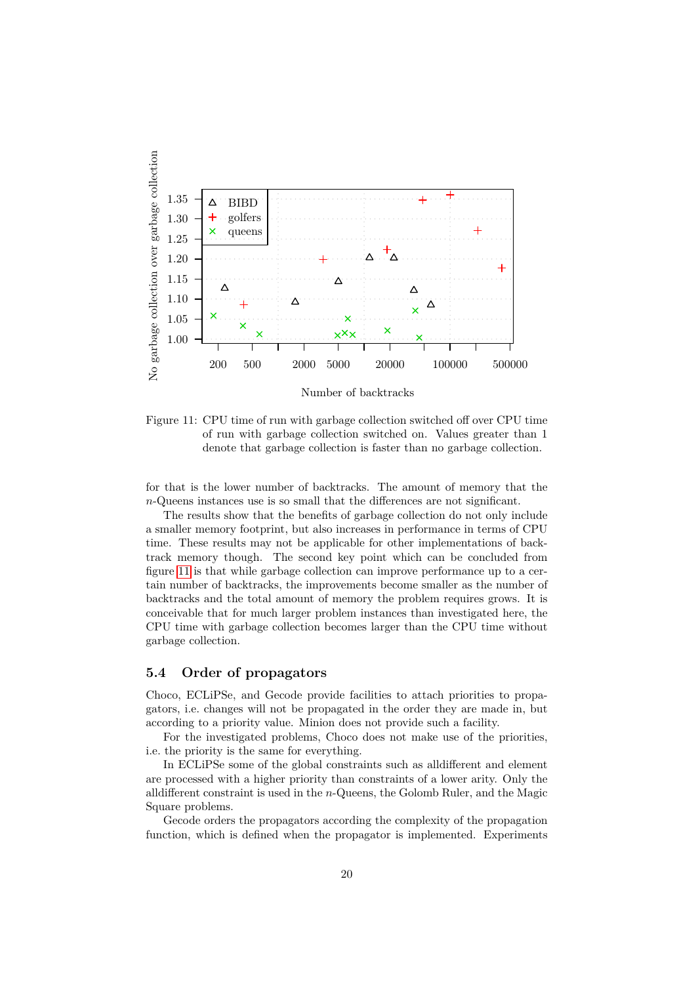

Figure 11: CPU time of run with garbage collection switched off over CPU time of run with garbage collection switched on. Values greater than 1

<span id="page-19-0"></span>denote that garbage collection is faster than no garbage collection.

for that is the lower number of backtracks. The amount of memory that the *n*-Queens instances use is so small that the differences are not significant.

The results show that the benefits of garbage collection do not only include a smaller memory footprint, but also increases in performance in terms of CPU time. These results may not be applicable for other implementations of backtrack memory though. The second key point which can be concluded from figure [11](#page-19-0) is that while garbage collection can improve performance up to a certain number of backtracks, the improvements become smaller as the number of backtracks and the total amount of memory the problem requires grows. It is conceivable that for much larger problem instances than investigated here, the CPU time with garbage collection becomes larger than the CPU time without garbage collection.

### **5.4 Order of propagators**

Choco, ECLiPSe, and Gecode provide facilities to attach priorities to propagators, i.e. changes will not be propagated in the order they are made in, but according to a priority value. Minion does not provide such a facility.

For the investigated problems, Choco does not make use of the priorities, i.e. the priority is the same for everything.

In ECLiPSe some of the global constraints such as alldifferent and element are processed with a higher priority than constraints of a lower arity. Only the alldifferent constraint is used in the *n*-Queens, the Golomb Ruler, and the Magic Square problems.

Gecode orders the propagators according the complexity of the propagation function, which is defined when the propagator is implemented. Experiments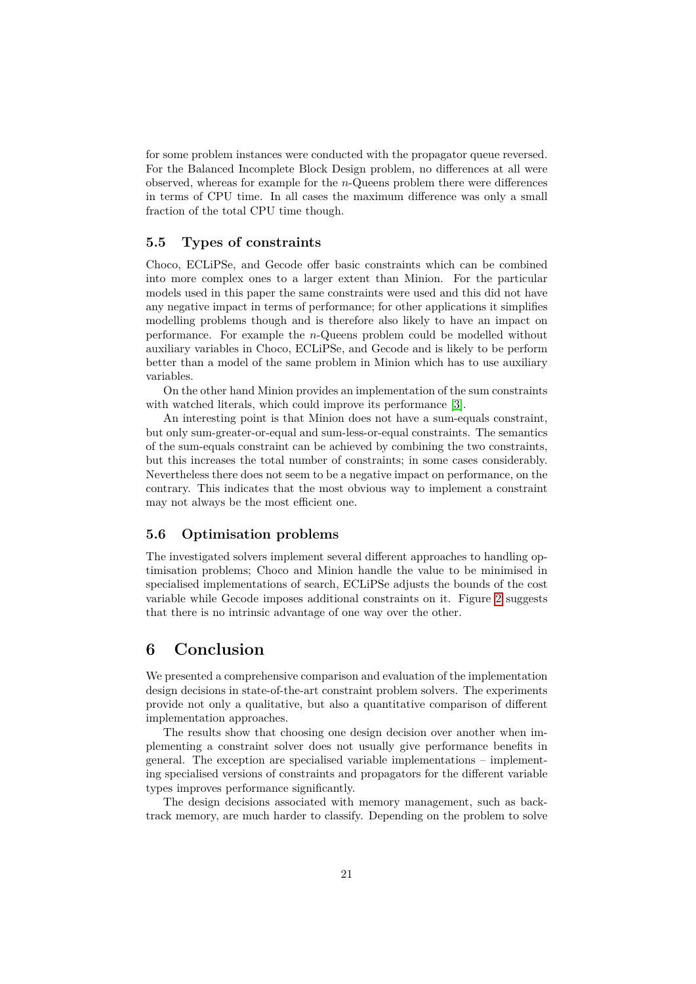for some problem instances were conducted with the propagator queue reversed. For the Balanced Incomplete Block Design problem, no differences at all were observed, whereas for example for the *n*-Queens problem there were differences in terms of CPU time. In all cases the maximum difference was only a small fraction of the total CPU time though.

### **5.5 Types of constraints**

Choco, ECLiPSe, and Gecode offer basic constraints which can be combined into more complex ones to a larger extent than Minion. For the particular models used in this paper the same constraints were used and this did not have any negative impact in terms of performance; for other applications it simplifies modelling problems though and is therefore also likely to have an impact on performance. For example the *n*-Queens problem could be modelled without auxiliary variables in Choco, ECLiPSe, and Gecode and is likely to be perform better than a model of the same problem in Minion which has to use auxiliary variables.

On the other hand Minion provides an implementation of the sum constraints with watched literals, which could improve its performance [\[3\]](#page-21-3).

An interesting point is that Minion does not have a sum-equals constraint, but only sum-greater-or-equal and sum-less-or-equal constraints. The semantics of the sum-equals constraint can be achieved by combining the two constraints, but this increases the total number of constraints; in some cases considerably. Nevertheless there does not seem to be a negative impact on performance, on the contrary. This indicates that the most obvious way to implement a constraint may not always be the most efficient one.

### **5.6 Optimisation problems**

The investigated solvers implement several different approaches to handling optimisation problems; Choco and Minion handle the value to be minimised in specialised implementations of search, ECLiPSe adjusts the bounds of the cost variable while Gecode imposes additional constraints on it. Figure [2](#page-7-0) suggests that there is no intrinsic advantage of one way over the other.

# **6 Conclusion**

We presented a comprehensive comparison and evaluation of the implementation design decisions in state-of-the-art constraint problem solvers. The experiments provide not only a qualitative, but also a quantitative comparison of different implementation approaches.

The results show that choosing one design decision over another when implementing a constraint solver does not usually give performance benefits in general. The exception are specialised variable implementations – implementing specialised versions of constraints and propagators for the different variable types improves performance significantly.

The design decisions associated with memory management, such as backtrack memory, are much harder to classify. Depending on the problem to solve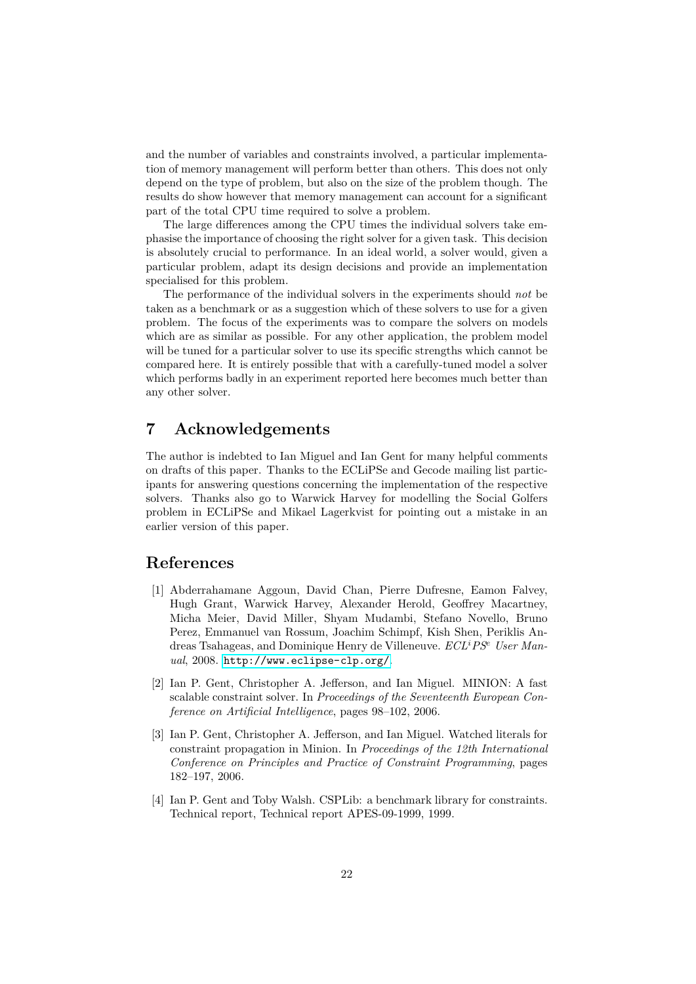and the number of variables and constraints involved, a particular implementation of memory management will perform better than others. This does not only depend on the type of problem, but also on the size of the problem though. The results do show however that memory management can account for a significant part of the total CPU time required to solve a problem.

The large differences among the CPU times the individual solvers take emphasise the importance of choosing the right solver for a given task. This decision is absolutely crucial to performance. In an ideal world, a solver would, given a particular problem, adapt its design decisions and provide an implementation specialised for this problem.

The performance of the individual solvers in the experiments should *not* be taken as a benchmark or as a suggestion which of these solvers to use for a given problem. The focus of the experiments was to compare the solvers on models which are as similar as possible. For any other application, the problem model will be tuned for a particular solver to use its specific strengths which cannot be compared here. It is entirely possible that with a carefully-tuned model a solver which performs badly in an experiment reported here becomes much better than any other solver.

# **7 Acknowledgements**

The author is indebted to Ian Miguel and Ian Gent for many helpful comments on drafts of this paper. Thanks to the ECLiPSe and Gecode mailing list participants for answering questions concerning the implementation of the respective solvers. Thanks also go to Warwick Harvey for modelling the Social Golfers problem in ECLiPSe and Mikael Lagerkvist for pointing out a mistake in an earlier version of this paper.

# **References**

- <span id="page-21-0"></span>[1] Abderrahamane Aggoun, David Chan, Pierre Dufresne, Eamon Falvey, Hugh Grant, Warwick Harvey, Alexander Herold, Geoffrey Macartney, Micha Meier, David Miller, Shyam Mudambi, Stefano Novello, Bruno Perez, Emmanuel van Rossum, Joachim Schimpf, Kish Shen, Periklis Andreas Tsahageas, and Dominique Henry de Villeneuve. *ECL<sup>i</sup>PS<sup>e</sup> User Manual*, 2008. <http://www.eclipse-clp.org/>.
- <span id="page-21-1"></span>[2] Ian P. Gent, Christopher A. Jefferson, and Ian Miguel. MINION: A fast scalable constraint solver. In *Proceedings of the Seventeenth European Conference on Artificial Intelligence*, pages 98–102, 2006.
- <span id="page-21-3"></span>[3] Ian P. Gent, Christopher A. Jefferson, and Ian Miguel. Watched literals for constraint propagation in Minion. In *Proceedings of the 12th International Conference on Principles and Practice of Constraint Programming*, pages 182–197, 2006.
- <span id="page-21-2"></span>[4] Ian P. Gent and Toby Walsh. CSPLib: a benchmark library for constraints. Technical report, Technical report APES-09-1999, 1999.